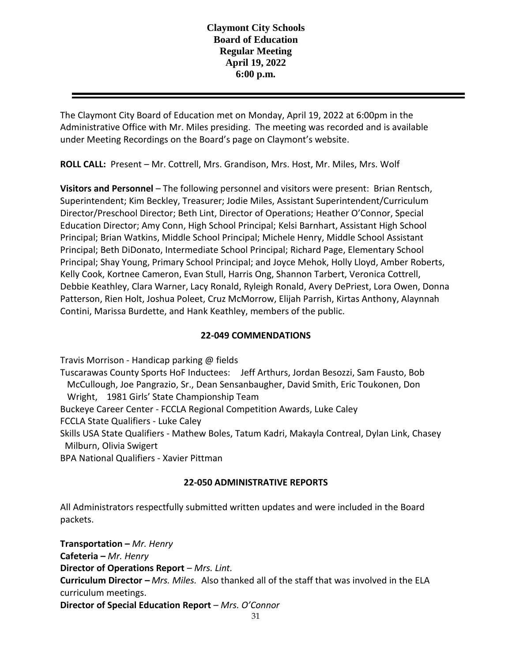The Claymont City Board of Education met on Monday, April 19, 2022 at 6:00pm in the Administrative Office with Mr. Miles presiding. The meeting was recorded and is available under Meeting Recordings on the Board's page on Claymont's website.

**ROLL CALL:** Present – Mr. Cottrell, Mrs. Grandison, Mrs. Host, Mr. Miles, Mrs. Wolf

**Visitors and Personnel** – The following personnel and visitors were present: Brian Rentsch, Superintendent; Kim Beckley, Treasurer; Jodie Miles, Assistant Superintendent/Curriculum Director/Preschool Director; Beth Lint, Director of Operations; Heather O'Connor, Special Education Director; Amy Conn, High School Principal; Kelsi Barnhart, Assistant High School Principal; Brian Watkins, Middle School Principal; Michele Henry, Middle School Assistant Principal; Beth DiDonato, Intermediate School Principal; Richard Page, Elementary School Principal; Shay Young, Primary School Principal; and Joyce Mehok, Holly Lloyd, Amber Roberts, Kelly Cook, Kortnee Cameron, Evan Stull, Harris Ong, Shannon Tarbert, Veronica Cottrell, Debbie Keathley, Clara Warner, Lacy Ronald, Ryleigh Ronald, Avery DePriest, Lora Owen, Donna Patterson, Rien Holt, Joshua Poleet, Cruz McMorrow, Elijah Parrish, Kirtas Anthony, Alaynnah Contini, Marissa Burdette, and Hank Keathley, members of the public.

## **22-049 COMMENDATIONS**

Travis Morrison - Handicap parking @ fields

Tuscarawas County Sports HoF Inductees: Jeff Arthurs, Jordan Besozzi, Sam Fausto, Bob McCullough, Joe Pangrazio, Sr., Dean Sensanbaugher, David Smith, Eric Toukonen, Don Wright, 1981 Girls' State Championship Team

Buckeye Career Center - FCCLA Regional Competition Awards, Luke Caley

FCCLA State Qualifiers - Luke Caley

Skills USA State Qualifiers - Mathew Boles, Tatum Kadri, Makayla Contreal, Dylan Link, Chasey Milburn, Olivia Swigert

BPA National Qualifiers - Xavier Pittman

## **22-050 ADMINISTRATIVE REPORTS**

All Administrators respectfully submitted written updates and were included in the Board packets.

**Transportation –** *Mr. Henry* **Cafeteria –** *Mr. Henry*  **Director of Operations Report** – *Mrs. Lint.* **Curriculum Director –** *Mrs. Miles.* Also thanked all of the staff that was involved in the ELA curriculum meetings. **Director of Special Education Report** – *Mrs. O'Connor*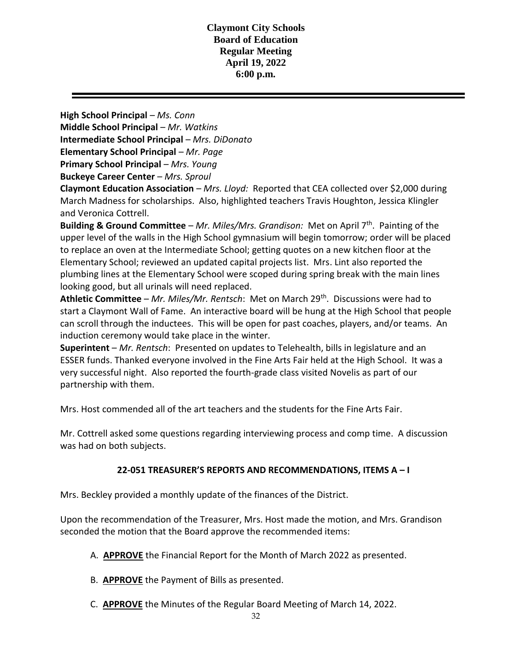**High School Principal** *– Ms. Conn* **Middle School Principal** – *Mr. Watkins* **Intermediate School Principal** – *Mrs. DiDonato* **Elementary School Principal** – *Mr. Page* **Primary School Principal** – *Mrs. Young* **Buckeye Career Center** – *Mrs. Sproul*

**Claymont Education Association** – *Mrs. Lloyd:* Reported that CEA collected over \$2,000 during March Madness for scholarships. Also, highlighted teachers Travis Houghton, Jessica Klingler and Veronica Cottrell.

**Building & Ground Committee** – *Mr. Miles/Mrs. Grandison:* Met on April 7<sup>th</sup>. Painting of the upper level of the walls in the High School gymnasium will begin tomorrow; order will be placed to replace an oven at the Intermediate School; getting quotes on a new kitchen floor at the Elementary School; reviewed an updated capital projects list. Mrs. Lint also reported the plumbing lines at the Elementary School were scoped during spring break with the main lines looking good, but all urinals will need replaced.

**Athletic Committee** – *Mr. Miles/Mr. Rentsch*: Met on March 29th. Discussions were had to start a Claymont Wall of Fame. An interactive board will be hung at the High School that people can scroll through the inductees. This will be open for past coaches, players, and/or teams. An induction ceremony would take place in the winter.

**Superintent** – *Mr. Rentsch*: Presented on updates to Telehealth, bills in legislature and an ESSER funds. Thanked everyone involved in the Fine Arts Fair held at the High School. It was a very successful night. Also reported the fourth-grade class visited Novelis as part of our partnership with them.

Mrs. Host commended all of the art teachers and the students for the Fine Arts Fair.

Mr. Cottrell asked some questions regarding interviewing process and comp time. A discussion was had on both subjects.

## **22-051 TREASURER'S REPORTS AND RECOMMENDATIONS, ITEMS A – I**

Mrs. Beckley provided a monthly update of the finances of the District.

Upon the recommendation of the Treasurer, Mrs. Host made the motion, and Mrs. Grandison seconded the motion that the Board approve the recommended items:

- A. **APPROVE** the Financial Report for the Month of March 2022 as presented.
- B. **APPROVE** the Payment of Bills as presented.
- C. **APPROVE** the Minutes of the Regular Board Meeting of March 14, 2022.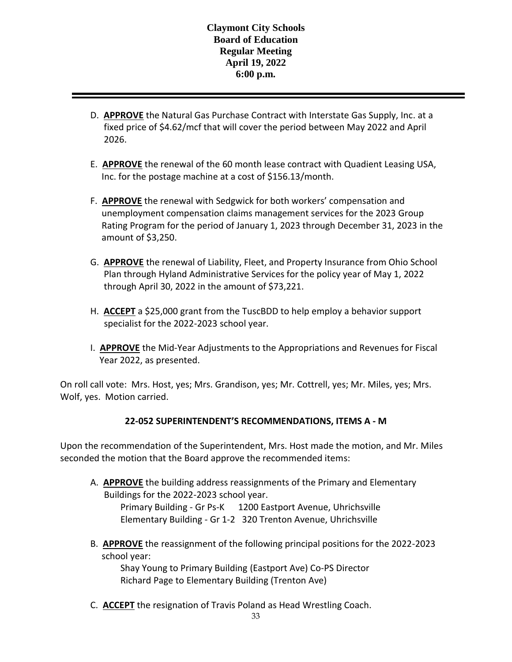- D. **APPROVE** the Natural Gas Purchase Contract with Interstate Gas Supply, Inc. at a fixed price of \$4.62/mcf that will cover the period between May 2022 and April 2026.
- E. **APPROVE** the renewal of the 60 month lease contract with Quadient Leasing USA, Inc. for the postage machine at a cost of \$156.13/month.
- F. **APPROVE** the renewal with Sedgwick for both workers' compensation and unemployment compensation claims management services for the 2023 Group Rating Program for the period of January 1, 2023 through December 31, 2023 in the amount of \$3,250.
- G. **APPROVE** the renewal of Liability, Fleet, and Property Insurance from Ohio School Plan through Hyland Administrative Services for the policy year of May 1, 2022 through April 30, 2022 in the amount of \$73,221.
- H. **ACCEPT** a \$25,000 grant from the TuscBDD to help employ a behavior support specialist for the 2022-2023 school year.
- I. **APPROVE** the Mid-Year Adjustments to the Appropriations and Revenues for Fiscal Year 2022, as presented.

On roll call vote: Mrs. Host, yes; Mrs. Grandison, yes; Mr. Cottrell, yes; Mr. Miles, yes; Mrs. Wolf, yes. Motion carried.

# **22-052 SUPERINTENDENT'S RECOMMENDATIONS, ITEMS A - M**

Upon the recommendation of the Superintendent, Mrs. Host made the motion, and Mr. Miles seconded the motion that the Board approve the recommended items:

- A. **APPROVE** the building address reassignments of the Primary and Elementary Buildings for the 2022-2023 school year. Primary Building - Gr Ps-K 1200 Eastport Avenue, Uhrichsville Elementary Building - Gr 1-2 320 Trenton Avenue, Uhrichsville
- B. **APPROVE** the reassignment of the following principal positions for the 2022-2023 school year:

Shay Young to Primary Building (Eastport Ave) Co-PS Director Richard Page to Elementary Building (Trenton Ave)

C. **ACCEPT** the resignation of Travis Poland as Head Wrestling Coach.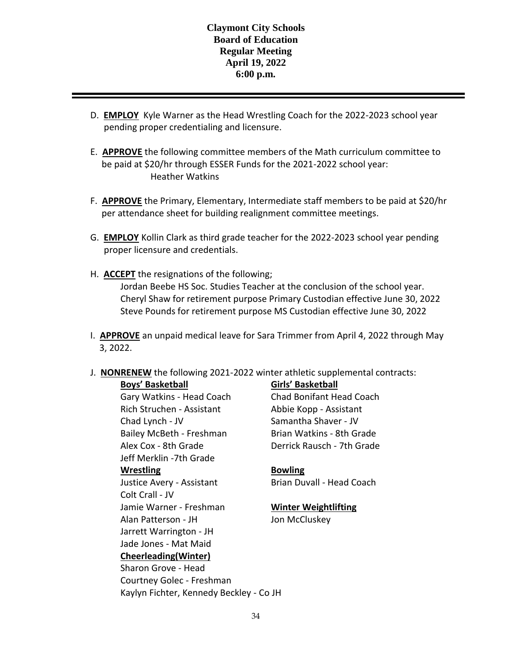- D. **EMPLOY** Kyle Warner as the Head Wrestling Coach for the 2022-2023 school year pending proper credentialing and licensure.
- E. **APPROVE** the following committee members of the Math curriculum committee to be paid at \$20/hr through ESSER Funds for the 2021-2022 school year: Heather Watkins
- F. **APPROVE** the Primary, Elementary, Intermediate staff members to be paid at \$20/hr per attendance sheet for building realignment committee meetings.
- G. **EMPLOY** Kollin Clark as third grade teacher for the 2022-2023 school year pending proper licensure and credentials.
- H. **ACCEPT** the resignations of the following; Jordan Beebe HS Soc. Studies Teacher at the conclusion of the school year. Cheryl Shaw for retirement purpose Primary Custodian effective June 30, 2022 Steve Pounds for retirement purpose MS Custodian effective June 30, 2022
- I. **APPROVE** an unpaid medical leave for Sara Trimmer from April 4, 2022 through May 3, 2022.
- J. **NONRENEW** the following 2021-2022 winter athletic supplemental contracts:

**Boys' Basketball Girls' Basketball**

Gary Watkins - Head Coach Chad Bonifant Head Coach Rich Struchen - Assistant Abbie Kopp - Assistant Chad Lynch - JV Samantha Shaver - JV Bailey McBeth - Freshman Brian Watkins - 8th Grade Alex Cox - 8th Grade Derrick Rausch - 7th Grade Jeff Merklin -7th Grade **Wrestling Bowling** Justice Avery - Assistant Brian Duvall - Head Coach Colt Crall - JV Jamie Warner - Freshman **Winter Weightlifting** Alan Patterson - JH Jon McCluskey Jarrett Warrington - JH Jade Jones - Mat Maid **Cheerleading(Winter)** Sharon Grove - Head

Courtney Golec - Freshman

Kaylyn Fichter, Kennedy Beckley - Co JH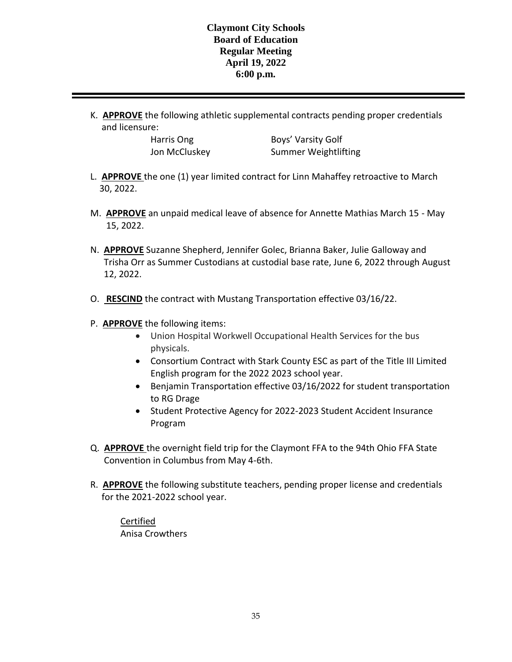K. **APPROVE** the following athletic supplemental contracts pending proper credentials and licensure:

Harris Ong Boys' Varsity Golf Jon McCluskey Summer Weightlifting

- L. **APPROVE** the one (1) year limited contract for Linn Mahaffey retroactive to March 30, 2022.
- M. **APPROVE** an unpaid medical leave of absence for Annette Mathias March 15 May 15, 2022.
- N. **APPROVE** Suzanne Shepherd, Jennifer Golec, Brianna Baker, Julie Galloway and Trisha Orr as Summer Custodians at custodial base rate, June 6, 2022 through August 12, 2022.
- O. **RESCIND** the contract with Mustang Transportation effective 03/16/22.
- P. **APPROVE** the following items:
	- Union Hospital Workwell Occupational Health Services for the bus physicals.
	- Consortium Contract with Stark County ESC as part of the Title III Limited English program for the 2022 2023 school year.
	- Benjamin Transportation effective 03/16/2022 for student transportation to RG Drage
	- Student Protective Agency for 2022-2023 Student Accident Insurance Program
- Q. **APPROVE** the overnight field trip for the Claymont FFA to the 94th Ohio FFA State Convention in Columbus from May 4-6th.
- R. **APPROVE** the following substitute teachers, pending proper license and credentials for the 2021-2022 school year.

Certified Anisa Crowthers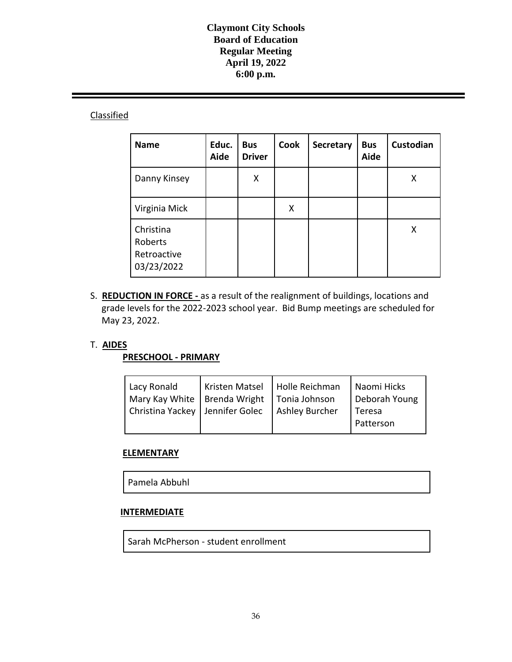## **Classified**

| <b>Name</b>                                       | Educ.<br>Aide | <b>Bus</b><br><b>Driver</b> | Cook | Secretary | <b>Bus</b><br>Aide | Custodian |
|---------------------------------------------------|---------------|-----------------------------|------|-----------|--------------------|-----------|
| Danny Kinsey                                      |               | X                           |      |           |                    | Χ         |
| Virginia Mick                                     |               |                             | X    |           |                    |           |
| Christina<br>Roberts<br>Retroactive<br>03/23/2022 |               |                             |      |           |                    | X         |

S. **REDUCTION IN FORCE -** as a result of the realignment of buildings, locations and grade levels for the 2022-2023 school year. Bid Bump meetings are scheduled for May 23, 2022.

#### T. **AIDES**

#### **PRESCHOOL - PRIMARY**

| Lacy Ronald<br>  Mary Kay White   Brenda Wright   Tonia Johnson<br>Christina Yackey   Jennifer Golec | Kristen Matsel   Holle Reichman | <b>Ashley Burcher</b> | Naomi Hicks<br>Deborah Young<br>Teresa |
|------------------------------------------------------------------------------------------------------|---------------------------------|-----------------------|----------------------------------------|
|                                                                                                      |                                 |                       | Patterson                              |

#### **ELEMENTARY**

Pamela Abbuhl

## **INTERMEDIATE**

Sarah McPherson - student enrollment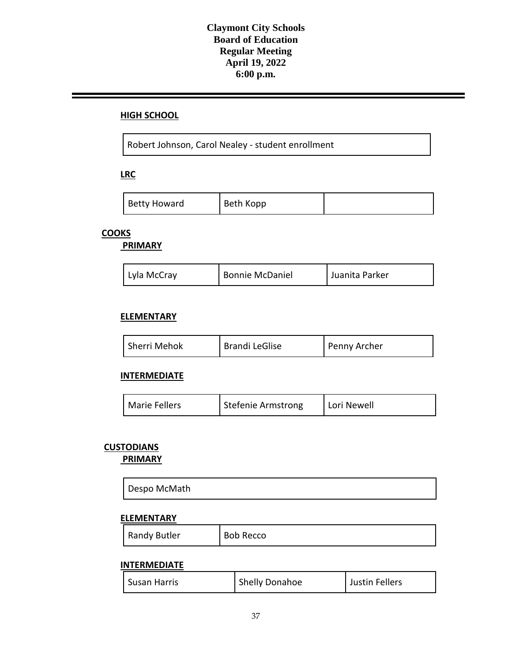#### **HIGH SCHOOL**

Robert Johnson, Carol Nealey - student enrollment

**LRC**

| <b>Betty Howard</b> | Beth Kopp |  |
|---------------------|-----------|--|
|---------------------|-----------|--|

# **COOKS**

**PRIMARY**

| Lyla McCray | <b>Bonnie McDaniel</b> | Juanita Parker |
|-------------|------------------------|----------------|
|-------------|------------------------|----------------|

#### **ELEMENTARY**

| Sherri Mehok | <b>Brandi LeGlise</b> | Penny Archer |
|--------------|-----------------------|--------------|
|--------------|-----------------------|--------------|

#### **INTERMEDIATE**

| <b>Marie Fellers</b> | Stefenie Armstrong | Lori Newell |
|----------------------|--------------------|-------------|
|----------------------|--------------------|-------------|

## **CUSTODIANS**

**PRIMARY**

| Despo McMath |
|--------------|
|--------------|

#### **ELEMENTARY**

| <b>Randy Butler</b> | <b>Bob Recco</b> |
|---------------------|------------------|
|---------------------|------------------|

#### **INTERMEDIATE**

| Susan Harris | Shelly Donahoe | Justin Fellers |
|--------------|----------------|----------------|
|--------------|----------------|----------------|